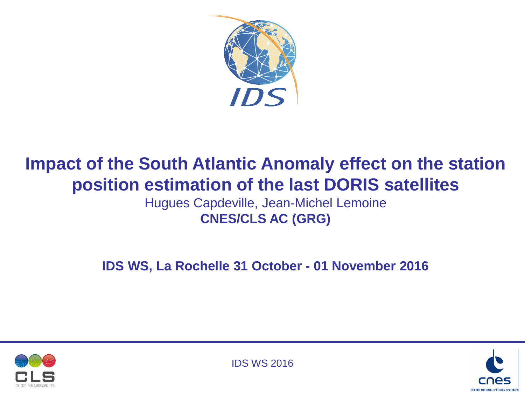

# **Impact of the South Atlantic Anomaly effect on the station position estimation of the last DORIS satellites**

Hugues Capdeville, Jean-Michel Lemoine **CNES/CLS AC (GRG)**

**IDS WS, La Rochelle 31 October - 01 November 2016**





IDS WS 2016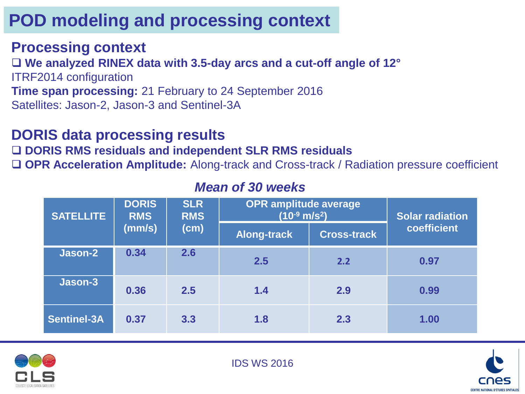# **POD modeling and processing context**

### **Processing context**

 **We analyzed RINEX data with 3.5-day arcs and a cut-off angle of 12°** ITRF2014 configuration **Time span processing:** 21 February to 24 September 2016 Satellites: Jason-2, Jason-3 and Sentinel-3A

### **DORIS data processing results**

### **DORIS RMS residuals and independent SLR RMS residuals**

**OPR Acceleration Amplitude:** Along-track and Cross-track / Radiation pressure coefficient

| <b>SATELLITE</b>   | <b>DORIS</b><br><b>RMS</b><br>(mm/s) | <b>SLR</b><br><b>RMS</b><br>(cm) | <b>OPR amplitude average</b><br>$(10^{-9}$ m/s <sup>2</sup> ) | <b>Solar radiation</b> |             |
|--------------------|--------------------------------------|----------------------------------|---------------------------------------------------------------|------------------------|-------------|
|                    |                                      |                                  | <b>Along-track</b>                                            | <b>Cross-track</b>     | coefficient |
| Jason-2            | 0.34                                 | 2.6                              | 2.5                                                           | 2.2                    | 0.97        |
| Jason-3            | 0.36                                 | 2.5                              | 1.4                                                           | 2.9                    | 0.99        |
| <b>Sentinel-3A</b> | 0.37                                 | 3.3                              | 1.8                                                           | 2.3                    | 1.00        |

### *Mean of 30 weeks*





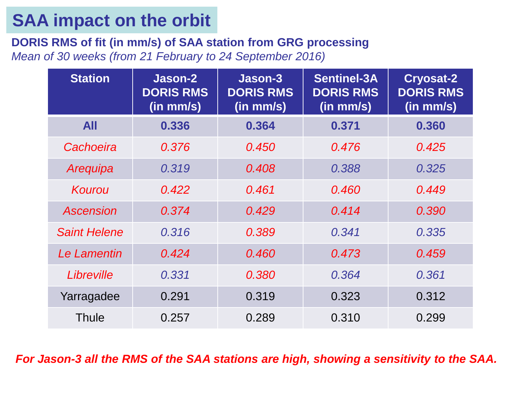## **SAA impact on the orbit**

**DORIS RMS of fit (in mm/s) of SAA station from GRG processing** *Mean of 30 weeks (from 21 February to 24 September 2016)*

| <b>Station</b>      | Jason-2<br><b>DORIS RMS</b><br>$(in$ mm/s $)$ | Jason-3<br><b>DORIS RMS</b><br>$(in$ mm/s $)$ | <b>Sentinel-3A</b><br><b>DORIS RMS</b><br>$(in$ mm/s $)$ | <b>Cryosat-2</b><br><b>DORIS RMS</b><br>(in mm/s) |  |
|---------------------|-----------------------------------------------|-----------------------------------------------|----------------------------------------------------------|---------------------------------------------------|--|
| <b>All</b>          | 0.336                                         | 0.364                                         | 0.371                                                    | 0.360                                             |  |
| Cachoeira           | 0.376                                         | 0.450                                         | 0.476                                                    | 0.425                                             |  |
| Arequipa            | 0.319                                         | 0.408                                         | 0.388                                                    | 0.325                                             |  |
| Kourou              | 0.422                                         | 0.461                                         | 0.460                                                    | 0.449                                             |  |
| Ascension           | 0.374                                         | 0.429                                         | 0.414                                                    | 0.390                                             |  |
| <b>Saint Helene</b> | 0.316                                         | 0.389                                         | 0.341                                                    | 0.335                                             |  |
| Le Lamentin         | 0.424                                         | 0.460                                         | 0.473                                                    | 0.459                                             |  |
| Libreville          | 0.331                                         | 0.380                                         | 0.364                                                    | 0.361                                             |  |
| Yarragadee          | 0.291                                         | 0.319                                         | 0.323                                                    | 0.312                                             |  |
| Thule               | 0.257                                         | 0.289                                         | 0.310                                                    | 0.299                                             |  |

*For Jason-3 all the RMS of the SAA stations are high, showing a sensitivity to the SAA.*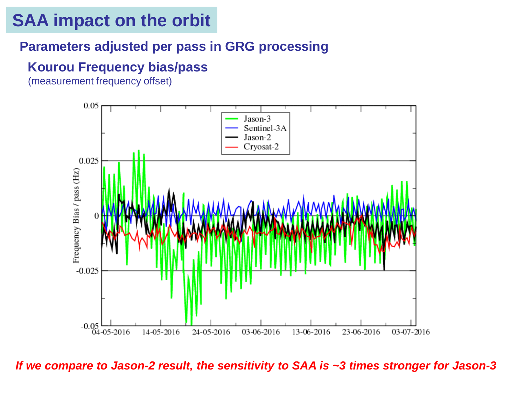### **SAA impact on the orbit**

### **Parameters adjusted per pass in GRG processing**

### **Kourou Frequency bias/pass**

(measurement frequency offset)



*If we compare to Jason-2 result, the sensitivity to SAA is ~3 times stronger for Jason-3*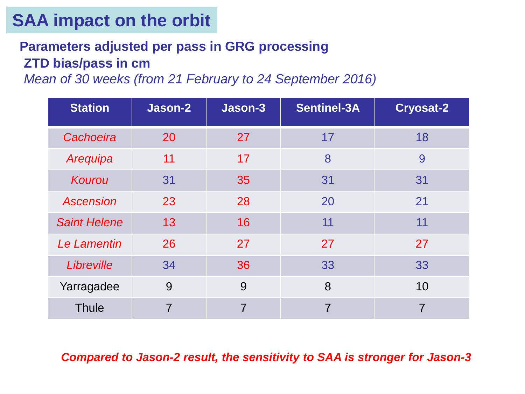## **SAA impact on the orbit**

### **ZTD bias/pass in cm Parameters adjusted per pass in GRG processing**

*Mean of 30 weeks (from 21 February to 24 September 2016)*

| <b>Station</b>      | Jason-2        | Jason-3        | <b>Sentinel-3A</b> | <b>Cryosat-2</b> |
|---------------------|----------------|----------------|--------------------|------------------|
| Cachoeira           | 20             | 27             | 17                 | 18               |
| Arequipa            | 11             | 17             | 8                  | 9                |
| Kourou              | 31             | 35             | 31                 | 31               |
| <b>Ascension</b>    | 23             | 28             | 20                 | 21               |
| <b>Saint Helene</b> | 13             | 16             | 11                 | 11               |
| Le Lamentin         | 26             | 27             | 27                 | 27               |
| Libreville          | 34             | 36             | 33                 | 33               |
| Yarragadee          | 9              | 9              | 8                  | 10               |
| <b>Thule</b>        | $\overline{7}$ | $\overline{7}$ | 7                  |                  |

*Compared to Jason-2 result, the sensitivity to SAA is stronger for Jason-3*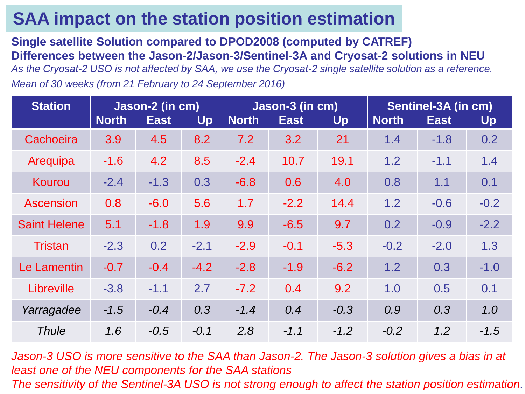## **SAA impact on the station position estimation**

**Single satellite Solution compared to DPOD2008 (computed by CATREF) Differences between the Jason-2/Jason-3/Sentinel-3A and Cryosat-2 solutions in NEU**

*As the Cryosat-2 USO is not affected by SAA, we use the Cryosat-2 single satellite solution as a reference. Mean of 30 weeks (from 21 February to 24 September 2016)*

| <b>Station</b>      | Jason-2 (in cm) |             | Jason-3 (in cm) |              |             | Sentinel-3A (in cm) |              |             |        |
|---------------------|-----------------|-------------|-----------------|--------------|-------------|---------------------|--------------|-------------|--------|
|                     | <b>North</b>    | <b>East</b> | Up              | <b>North</b> | <b>East</b> | Up                  | <b>North</b> | <b>East</b> | Up     |
| Cachoeira           | 3.9             | 4.5         | 8.2             | 7.2          | 3.2         | 21                  | 1.4          | $-1.8$      | 0.2    |
| Arequipa            | $-1.6$          | 4.2         | 8.5             | $-2.4$       | 10.7        | 19.1                | 1.2          | $-1.1$      | 1.4    |
| Kourou              | $-2.4$          | $-1.3$      | 0.3             | $-6.8$       | 0.6         | 4.0                 | 0.8          | 1.1         | 0.1    |
| <b>Ascension</b>    | 0.8             | $-6.0$      | 5.6             | 1.7          | $-2.2$      | 14.4                | 1.2          | $-0.6$      | $-0.2$ |
| <b>Saint Helene</b> | 5.1             | $-1.8$      | 1.9             | 9.9          | $-6.5$      | 9.7                 | 0.2          | $-0.9$      | $-2.2$ |
| <b>Tristan</b>      | $-2.3$          | 0.2         | $-2.1$          | $-2.9$       | $-0.1$      | $-5.3$              | $-0.2$       | $-2.0$      | 1.3    |
| Le Lamentin         | $-0.7$          | $-0.4$      | $-4.2$          | $-2.8$       | $-1.9$      | $-6.2$              | 1.2          | 0.3         | $-1.0$ |
| Libreville          | $-3.8$          | $-1.1$      | 2.7             | $-7.2$       | 0.4         | 9.2                 | 1.0          | 0.5         | 0.1    |
| Yarragadee          | $-1.5$          | $-0.4$      | 0.3             | $-1.4$       | 0.4         | $-0.3$              | 0.9          | 0.3         | 1.0    |
| <b>Thule</b>        | 1.6             | $-0.5$      | $-0.1$          | 2.8          | $-1.1$      | $-1.2$              | $-0.2$       | 1.2         | $-1.5$ |

*Jason-3 USO is more sensitive to the SAA than Jason-2. The Jason-3 solution gives a bias in at least one of the NEU components for the SAA stations The sensitivity of the Sentinel-3A USO is not strong enough to affect the station position estimation.*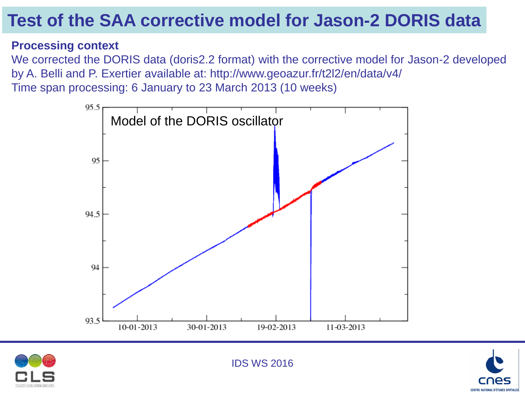## **Test of the SAA corrective model for Jason-2 DORIS data**

#### **Processing context**

We corrected the DORIS data (doris2.2 format) with the corrective model for Jason-2 developed by A. Belli and P. Exertier available at: http://www.geoazur.fr/t2l2/en/data/v4/ Time span processing: 6 January to 23 March 2013 (10 weeks)







IDS WS 2016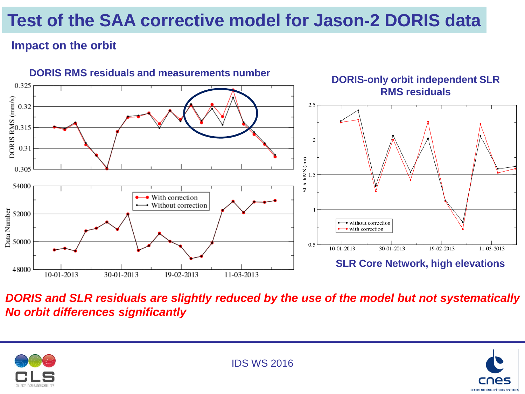# **Test of the SAA corrective model for Jason-2 DORIS data**

### **Impact on the orbit**



*DORIS and SLR residuals are slightly reduced by the use of the model but not systematically No orbit differences significantly* 



IDS WS 2016

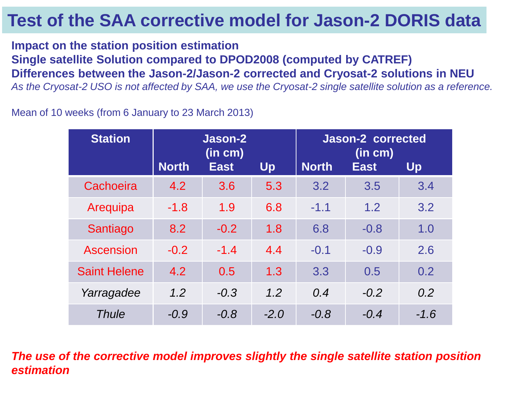## **Test of the SAA corrective model for Jason-2 DORIS data**

**Impact on the station position estimation Single satellite Solution compared to DPOD2008 (computed by CATREF) Differences between the Jason-2/Jason-2 corrected and Cryosat-2 solutions in NEU**

*As the Cryosat-2 USO is not affected by SAA, we use the Cryosat-2 single satellite solution as a reference.*

Mean of 10 weeks (from 6 January to 23 March 2013)

| <b>Station</b>      | Jason-2<br>(in cm) |             |        | <b>Jason-2 corrected</b><br>(in cm) |             |        |  |
|---------------------|--------------------|-------------|--------|-------------------------------------|-------------|--------|--|
|                     | <b>North</b>       | <b>East</b> | Up     | <b>North</b>                        | <b>East</b> | Up     |  |
| Cachoeira           | 4.2                | 3.6         | 5.3    | 3.2                                 | 3.5         | 3.4    |  |
| Arequipa            | $-1.8$             | 1.9         | 6.8    | $-1.1$                              | 1.2         | 3.2    |  |
| Santiago            | 8.2                | $-0.2$      | 1.8    | 6.8                                 | $-0.8$      | 1.0    |  |
| <b>Ascension</b>    | $-0.2$             | $-1.4$      | 4.4    | $-0.1$                              | $-0.9$      | 2.6    |  |
| <b>Saint Helene</b> | 4.2                | 0.5         | 1.3    | 3.3                                 | 0.5         | 0.2    |  |
| Yarragadee          | 1.2                | $-0.3$      | 1.2    | 0.4                                 | $-0.2$      | 0.2    |  |
| <b>Thule</b>        | $-0.9$             | $-0.8$      | $-2.0$ | $-0.8$                              | $-0.4$      | $-1.6$ |  |

*The use of the corrective model improves slightly the single satellite station position estimation*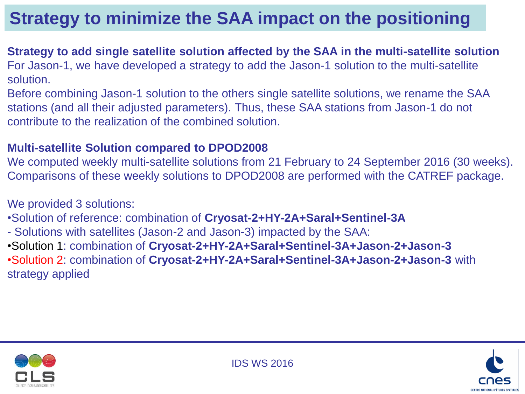## **Strategy to minimize the SAA impact on the positioning**

#### **Strategy to add single satellite solution affected by the SAA in the multi-satellite solution** For Jason-1, we have developed a strategy to add the Jason-1 solution to the multi-satellite solution.

Before combining Jason-1 solution to the others single satellite solutions, we rename the SAA stations (and all their adjusted parameters). Thus, these SAA stations from Jason-1 do not contribute to the realization of the combined solution.

#### **Multi-satellite Solution compared to DPOD2008**

We computed weekly multi-satellite solutions from 21 February to 24 September 2016 (30 weeks). Comparisons of these weekly solutions to DPOD2008 are performed with the CATREF package.

#### We provided 3 solutions:

- •Solution of reference: combination of **Cryosat-2+HY-2A+Saral+Sentinel-3A**
- Solutions with satellites (Jason-2 and Jason-3) impacted by the SAA:

•Solution 1: combination of **Cryosat-2+HY-2A+Saral+Sentinel-3A+Jason-2+Jason-3** •Solution 2: combination of **Cryosat-2+HY-2A+Saral+Sentinel-3A+Jason-2+Jason-3** with strategy applied



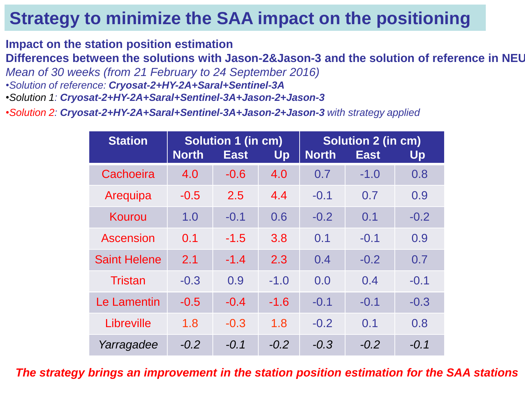## **Strategy to minimize the SAA impact on the positioning**

**Impact on the station position estimation**

**Differences between the solutions with Jason-2&Jason-3 and the solution of reference in NEU**

*Mean of 30 weeks (from 21 February to 24 September 2016)*

- •*Solution of reference: Cryosat-2+HY-2A+Saral+Sentinel-3A*
- •*Solution 1: Cryosat-2+HY-2A+Saral+Sentinel-3A+Jason-2+Jason-3*

•*Solution 2: Cryosat-2+HY-2A+Saral+Sentinel-3A+Jason-2+Jason-3 with strategy applied*

| <b>Station</b>      | <b>North</b> | Solution 1 (in cm)<br><b>East</b> | Up     | <b>Solution 2 (in cm)</b><br><b>North</b><br><b>East</b><br>Up |        |        |  |
|---------------------|--------------|-----------------------------------|--------|----------------------------------------------------------------|--------|--------|--|
| Cachoeira           | 4.0          | $-0.6$                            | 4.0    | 0.7                                                            | $-1.0$ | 0.8    |  |
| Arequipa            | $-0.5$       | 2.5                               | 4.4    | $-0.1$                                                         | 0.7    | 0.9    |  |
| Kourou              | 1.0          | $-0.1$                            | 0.6    | $-0.2$                                                         | 0.1    | $-0.2$ |  |
| Ascension           | 0.1          | $-1.5$                            | 3.8    | 0.1                                                            | $-0.1$ | 0.9    |  |
| <b>Saint Helene</b> | 2.1          | $-1.4$                            | 2.3    | 0.4                                                            | $-0.2$ | 0.7    |  |
| <b>Tristan</b>      | $-0.3$       | 0.9                               | $-1.0$ | 0.0                                                            | 0.4    | $-0.1$ |  |
| Le Lamentin         | $-0.5$       | $-0.4$                            | $-1.6$ | $-0.1$                                                         | $-0.1$ | $-0.3$ |  |
| Libreville          | 1.8          | $-0.3$                            | 1.8    | $-0.2$                                                         | 0.1    | 0.8    |  |
| Yarragadee          | $-0.2$       | $-0.1$                            | $-0.2$ | $-0.3$                                                         | $-0.2$ | $-0.1$ |  |

*The strategy brings an improvement in the station position estimation for the SAA stations*